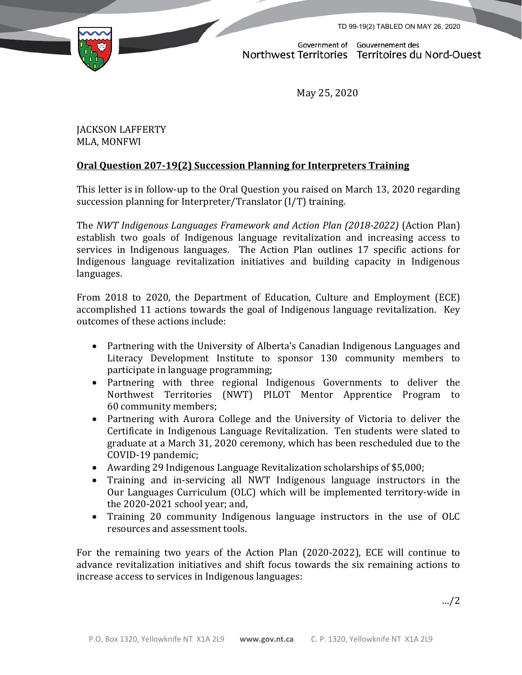TD 99-19(2) TABLED ON MAY 26, 2020



Government of Gouvernement des<br>Northwest Territories Territoires du Nord-Ouest

May 25, 2020

JACKSON LAFFERTY MLA, MONFWI

## **Oral Question 207-19(2) Succession Planning for Interpreters Training**

This letter is in follow-up to the Oral Question you raised on March 13, 2020 regarding succession planning for Interpreter/Translator (I/T) training.

The *NWT Indigenous Languages Framework and Action Plan (2018-2022)* (Action Plan) establish two goals of Indigenous language revitalization and increasing access to services in Indigenous languages. The Action Plan outlines 17 specific actions for Indigenous language revitalization initiatives and building capacity in Indigenous languages.

From 2018 to 2020, the Department of Education, Culture and Employment (ECE) accomplished 11 actions towards the goal of Indigenous language revitalization. Key outcomes of these actions include:

- Partnering with the University of Alberta's Canadian Indigenous Languages and Literacy Development Institute to sponsor 130 community members to participate in language programming;
- Partnering with three regional Indigenous Governments to deliver the Northwest Territories (NWT) PILOT Mentor Apprentice Program to 60 community members;
- Partnering with Aurora College and the University of Victoria to deliver the Certificate in Indigenous Language Revitalization. Ten students were slated to graduate at a March 31, 2020 ceremony, which has been rescheduled due to the COVID-19 pandemic;
- Awarding 29 Indigenous Language Revitalization scholarships of \$5,000;
- Training and in-servicing all NWT Indigenous language instructors in the Our Languages Curriculum (OLC) which will be implemented territory-wide in the 2020-2021 school year; and,
- Training 20 community Indigenous language instructors in the use of OLC resources and assessment tools.

For the remaining two years of the Action Plan (2020-2022), ECE will continue to advance revitalization initiatives and shift focus towards the six remaining actions to increase access to services in Indigenous languages:

…/2